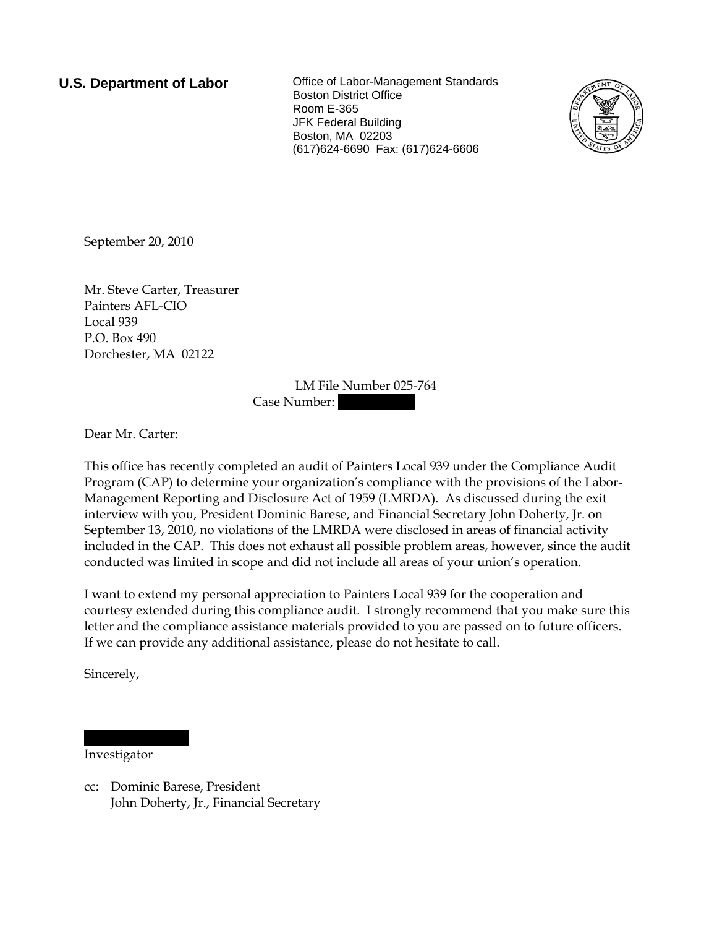**U.S. Department of Labor Collect** Office of Labor-Management Standards Boston District Office Room E-365 JFK Federal Building Boston, MA 02203 (617)624-6690 Fax: (617)624-6606



September 20, 2010

Mr. Steve Carter, Treasurer Painters AFL-CIO Local 939 P.O. Box 490 Dorchester, MA 02122

> LM File Number 025-764 Case Number:

Dear Mr. Carter:

This office has recently completed an audit of Painters Local 939 under the Compliance Audit Program (CAP) to determine your organization's compliance with the provisions of the Labor-Management Reporting and Disclosure Act of 1959 (LMRDA). As discussed during the exit interview with you, President Dominic Barese, and Financial Secretary John Doherty, Jr. on September 13, 2010, no violations of the LMRDA were disclosed in areas of financial activity included in the CAP. This does not exhaust all possible problem areas, however, since the audit conducted was limited in scope and did not include all areas of your union's operation.

I want to extend my personal appreciation to Painters Local 939 for the cooperation and courtesy extended during this compliance audit. I strongly recommend that you make sure this letter and the compliance assistance materials provided to you are passed on to future officers. If we can provide any additional assistance, please do not hesitate to call.

Sincerely,

Investigator

|||||| |||||||

cc: Dominic Barese, President John Doherty, Jr., Financial Secretary